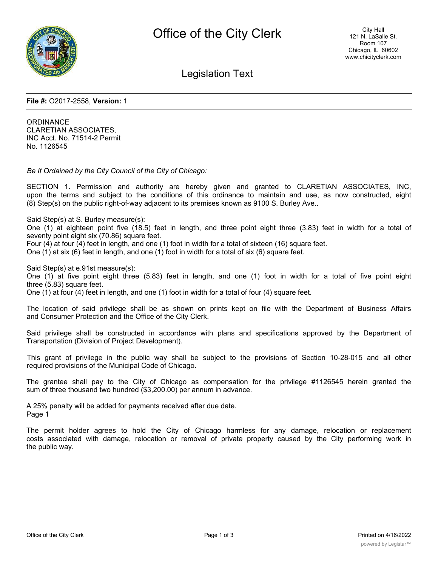

Legislation Text

**File #:** O2017-2558, **Version:** 1

**ORDINANCE** CLARETIAN ASSOCIATES, INC Acct. No. 71514-2 Permit No. 1126545

*Be It Ordained by the City Council of the City of Chicago:*

SECTION 1. Permission and authority are hereby given and granted to CLARETIAN ASSOCIATES, INC, upon the terms and subject to the conditions of this ordinance to maintain and use, as now constructed, eight (8) Step(s) on the public right-of-way adjacent to its premises known as 9100 S. Burley Ave..

Said Step(s) at S. Burley measure(s):

One (1) at eighteen point five (18.5) feet in length, and three point eight three (3.83) feet in width for a total of seventy point eight six (70.86) square feet.

Four (4) at four (4) feet in length, and one (1) foot in width for a total of sixteen (16) square feet.

One (1) at six (6) feet in length, and one (1) foot in width for a total of six (6) square feet.

Said Step(s) at e.91st measure(s):

One (1) at five point eight three (5.83) feet in length, and one (1) foot in width for a total of five point eight three (5.83) square feet.

One (1) at four (4) feet in length, and one (1) foot in width for a total of four (4) square feet.

The location of said privilege shall be as shown on prints kept on file with the Department of Business Affairs and Consumer Protection and the Office of the City Clerk.

Said privilege shall be constructed in accordance with plans and specifications approved by the Department of Transportation (Division of Project Development).

This grant of privilege in the public way shall be subject to the provisions of Section 10-28-015 and all other required provisions of the Municipal Code of Chicago.

The grantee shall pay to the City of Chicago as compensation for the privilege #1126545 herein granted the sum of three thousand two hundred (\$3,200.00) per annum in advance.

A 25% penalty will be added for payments received after due date. Page 1

The permit holder agrees to hold the City of Chicago harmless for any damage, relocation or replacement costs associated with damage, relocation or removal of private property caused by the City performing work in the public way.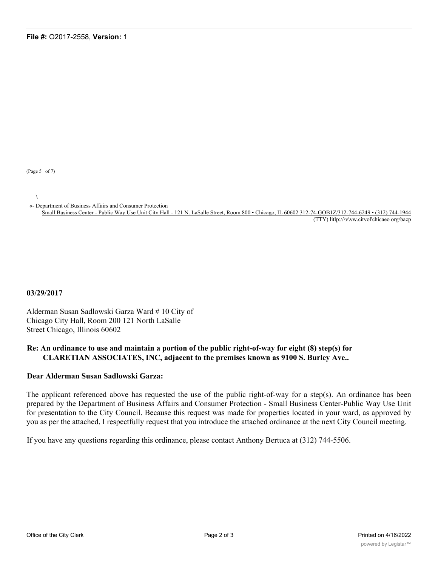(Page 5 of 7)

 $\setminus$ 

«- Department of Business Affairs and Consumer Protection

Small Business Center - Public Way Use Unit City Hall - 121 N. LaSalle Street, Room 800 • Chicago, IL 60602 312-74-GOB1Z/312-744-6249 • (312) 744-1944 (TTY) litlp://\v\vw.citvol'chicaeo org/bacp

**03/29/2017**

Alderman Susan Sadlowski Garza Ward # 10 City of Chicago City Hall, Room 200 121 North LaSalle Street Chicago, Illinois 60602

## **Re: An ordinance to use and maintain a portion of the public right-of-way for eight (8) step(s) for CLARETIAN ASSOCIATES, INC, adjacent to the premises known as 9100 S. Burley Ave..**

## **Dear Alderman Susan Sadlowski Garza:**

The applicant referenced above has requested the use of the public right-of-way for a step(s). An ordinance has been prepared by the Department of Business Affairs and Consumer Protection - Small Business Center-Public Way Use Unit for presentation to the City Council. Because this request was made for properties located in your ward, as approved by you as per the attached, I respectfully request that you introduce the attached ordinance at the next City Council meeting.

If you have any questions regarding this ordinance, please contact Anthony Bertuca at (312) 744-5506.